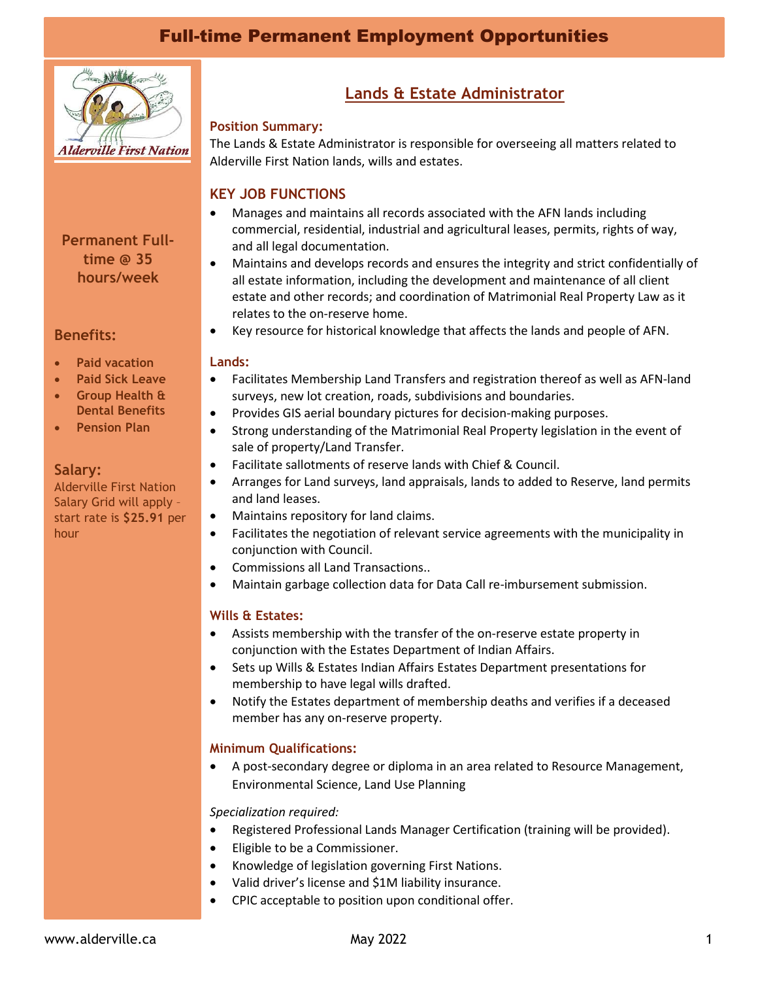# Full-time Permanent Employment Opportunities



# **Permanent Fulltime @ 35 hours/week**

## **Benefits:**

- **Paid vacation**
- **Paid Sick Leave**
- **Group Health & Dental Benefits**
- **Pension Plan**

### **Salary:**

Alderville First Nation Salary Grid will apply – start rate is **\$25.91** per hour

# **Lands & Estate Administrator**

#### **Position Summary:**

The Lands & Estate Administrator is responsible for overseeing all matters related to Alderville First Nation lands, wills and estates.

# **KEY JOB FUNCTIONS**

- Manages and maintains all records associated with the AFN lands including commercial, residential, industrial and agricultural leases, permits, rights of way, and all legal documentation.
- Maintains and develops records and ensures the integrity and strict confidentially of all estate information, including the development and maintenance of all client estate and other records; and coordination of Matrimonial Real Property Law as it relates to the on-reserve home.
- Key resource for historical knowledge that affects the lands and people of AFN.

#### **Lands:**

- Facilitates Membership Land Transfers and registration thereof as well as AFN-land surveys, new lot creation, roads, subdivisions and boundaries.
- Provides GIS aerial boundary pictures for decision-making purposes.
- Strong understanding of the Matrimonial Real Property legislation in the event of sale of property/Land Transfer.
- Facilitate sallotments of reserve lands with Chief & Council.
- Arranges for Land surveys, land appraisals, lands to added to Reserve, land permits and land leases.
- Maintains repository for land claims.
- Facilitates the negotiation of relevant service agreements with the municipality in conjunction with Council.
- Commissions all Land Transactions..
- Maintain garbage collection data for Data Call re-imbursement submission.

### **Wills & Estates:**

- Assists membership with the transfer of the on-reserve estate property in conjunction with the Estates Department of Indian Affairs.
- Sets up Wills & Estates Indian Affairs Estates Department presentations for membership to have legal wills drafted.
- Notify the Estates department of membership deaths and verifies if a deceased member has any on-reserve property.

### **Minimum Qualifications:**

• A post-secondary degree or diploma in an area related to Resource Management, Environmental Science, Land Use Planning

#### *Specialization required:*

- Registered Professional Lands Manager Certification (training will be provided).
- Eligible to be a Commissioner.
- Knowledge of legislation governing First Nations.
- Valid driver's license and \$1M liability insurance.
- CPIC acceptable to position upon conditional offer.